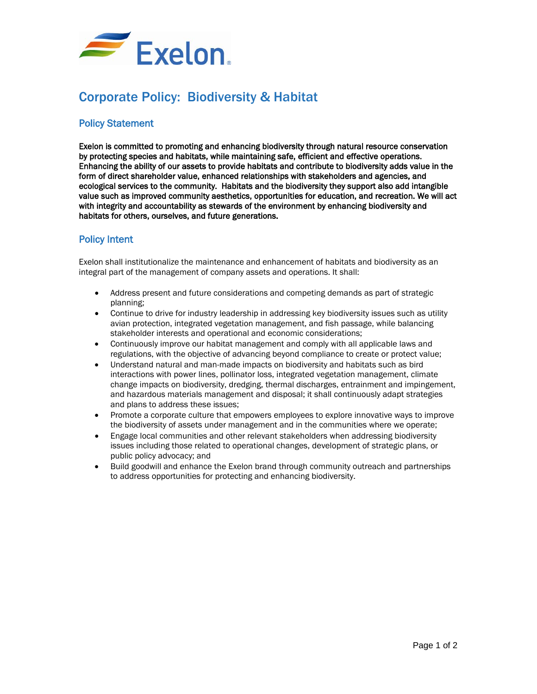

## Corporate Policy: Biodiversity & Habitat

## Policy Statement

Exelon is committed to promoting and enhancing biodiversity through natural resource conservation by protecting species and habitats, while maintaining safe, efficient and effective operations. Enhancing the ability of our assets to provide habitats and contribute to biodiversity adds value in the form of direct shareholder value, enhanced relationships with stakeholders and agencies, and ecological services to the community. Habitats and the biodiversity they support also add intangible value such as improved community aesthetics, opportunities for education, and recreation. We will act with integrity and accountability as stewards of the environment by enhancing biodiversity and habitats for others, ourselves, and future generations.

## Policy Intent

Exelon shall institutionalize the maintenance and enhancement of habitats and biodiversity as an integral part of the management of company assets and operations. It shall:

- Address present and future considerations and competing demands as part of strategic planning;
- Continue to drive for industry leadership in addressing key biodiversity issues such as utility avian protection, integrated vegetation management, and fish passage, while balancing stakeholder interests and operational and economic considerations;
- Continuously improve our habitat management and comply with all applicable laws and regulations, with the objective of advancing beyond compliance to create or protect value;
- Understand natural and man-made impacts on biodiversity and habitats such as bird interactions with power lines, pollinator loss, integrated vegetation management, climate change impacts on biodiversity, dredging, thermal discharges, entrainment and impingement, and hazardous materials management and disposal; it shall continuously adapt strategies and plans to address these issues;
- Promote a corporate culture that empowers employees to explore innovative ways to improve the biodiversity of assets under management and in the communities where we operate;
- Engage local communities and other relevant stakeholders when addressing biodiversity issues including those related to operational changes, development of strategic plans, or public policy advocacy; and
- Build goodwill and enhance the Exelon brand through community outreach and partnerships to address opportunities for protecting and enhancing biodiversity.